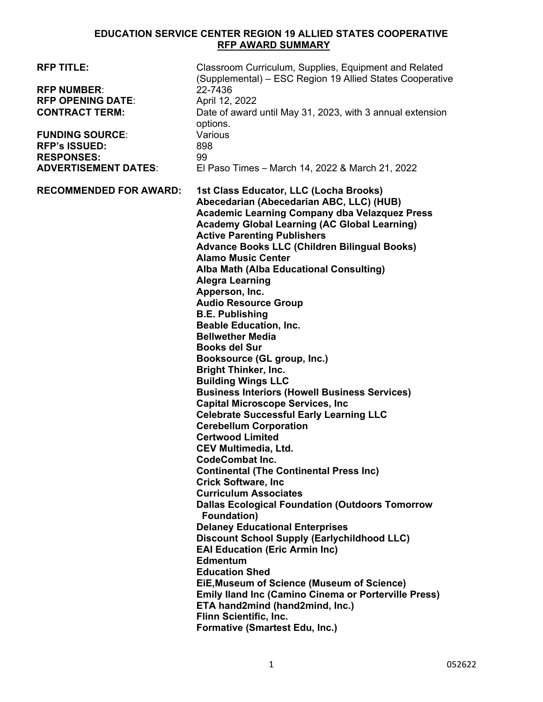## **EDUCATION SERVICE CENTER REGION 19 ALLIED STATES COOPERATIVE RFP AWARD SUMMARY**

| <b>RFP TITLE:</b><br><b>RFP NUMBER:</b><br><b>RFP OPENING DATE:</b><br><b>CONTRACT TERM:</b><br><b>FUNDING SOURCE:</b><br><b>RFP's ISSUED:</b><br><b>RESPONSES:</b><br><b>ADVERTISEMENT DATES:</b> | Classroom Curriculum, Supplies, Equipment and Related<br>(Supplemental) – ESC Region 19 Allied States Cooperative<br>22-7436<br>April 12, 2022<br>Date of award until May 31, 2023, with 3 annual extension<br>options.<br>Various<br>898<br>99<br>El Paso Times - March 14, 2022 & March 21, 2022                                                                                                                                                                                                                                                                                                                                                                                                                                                                                                                                                                                                                                                                                                                                                                                                                                                                                                                                                                                                                                                                                                                                                                                                                                      |
|----------------------------------------------------------------------------------------------------------------------------------------------------------------------------------------------------|-----------------------------------------------------------------------------------------------------------------------------------------------------------------------------------------------------------------------------------------------------------------------------------------------------------------------------------------------------------------------------------------------------------------------------------------------------------------------------------------------------------------------------------------------------------------------------------------------------------------------------------------------------------------------------------------------------------------------------------------------------------------------------------------------------------------------------------------------------------------------------------------------------------------------------------------------------------------------------------------------------------------------------------------------------------------------------------------------------------------------------------------------------------------------------------------------------------------------------------------------------------------------------------------------------------------------------------------------------------------------------------------------------------------------------------------------------------------------------------------------------------------------------------------|
| <b>RECOMMENDED FOR AWARD:</b>                                                                                                                                                                      | 1st Class Educator, LLC (Locha Brooks)<br>Abecedarian (Abecedarian ABC, LLC) (HUB)<br><b>Academic Learning Company dba Velazquez Press</b><br><b>Academy Global Learning (AC Global Learning)</b><br><b>Active Parenting Publishers</b><br><b>Advance Books LLC (Children Bilingual Books)</b><br><b>Alamo Music Center</b><br>Alba Math (Alba Educational Consulting)<br><b>Alegra Learning</b><br>Apperson, Inc.<br><b>Audio Resource Group</b><br><b>B.E. Publishing</b><br><b>Beable Education, Inc.</b><br><b>Bellwether Media</b><br><b>Books del Sur</b><br>Booksource (GL group, Inc.)<br><b>Bright Thinker, Inc.</b><br><b>Building Wings LLC</b><br><b>Business Interiors (Howell Business Services)</b><br><b>Capital Microscope Services, Inc.</b><br><b>Celebrate Successful Early Learning LLC</b><br><b>Cerebellum Corporation</b><br><b>Certwood Limited</b><br><b>CEV Multimedia, Ltd.</b><br><b>CodeCombat Inc.</b><br><b>Continental (The Continental Press Inc)</b><br><b>Crick Software, Inc.</b><br><b>Curriculum Associates</b><br><b>Dallas Ecological Foundation (Outdoors Tomorrow</b><br>Foundation)<br><b>Delaney Educational Enterprises</b><br><b>Discount School Supply (Earlychildhood LLC)</b><br><b>EAI Education (Eric Armin Inc)</b><br><b>Edmentum</b><br><b>Education Shed</b><br>EiE, Museum of Science (Museum of Science)<br><b>Emily lland Inc (Camino Cinema or Porterville Press)</b><br>ETA hand2mind (hand2mind, Inc.)<br>Flinn Scientific, Inc.<br><b>Formative (Smartest Edu, Inc.)</b> |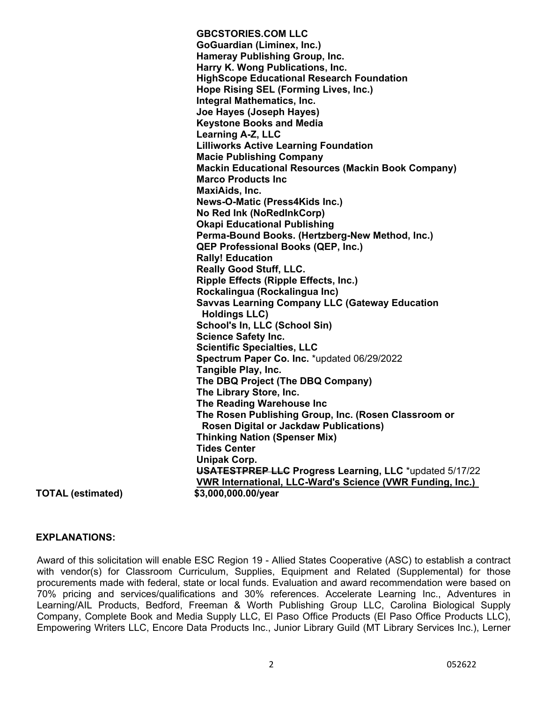**GBCSTORIES.COM LLC GoGuardian (Liminex, Inc.) Hameray Publishing Group, Inc. Harry K. Wong Publications, Inc. HighScope Educational Research Foundation Hope Rising SEL (Forming Lives, Inc.) Integral Mathematics, Inc. Joe Hayes (Joseph Hayes) Keystone Books and Media Learning A-Z, LLC Lilliworks Active Learning Foundation Macie Publishing Company Mackin Educational Resources (Mackin Book Company) Marco Products Inc MaxiAids, Inc. News-O-Matic (Press4Kids Inc.) No Red Ink (NoRedInkCorp) Okapi Educational Publishing Perma-Bound Books. (Hertzberg-New Method, Inc.) QEP Professional Books (QEP, Inc.) Rally! Education Really Good Stuff, LLC. Ripple Effects (Ripple Effects, Inc.) Rockalingua (Rockalingua Inc) Savvas Learning Company LLC (Gateway Education Holdings LLC) School's In, LLC (School Sin) Science Safety Inc. Scientific Specialties, LLC Spectrum Paper Co. Inc.** \*updated 06/29/2022 **Tangible Play, Inc. The DBQ Project (The DBQ Company) The Library Store, Inc. The Reading Warehouse Inc The Rosen Publishing Group, Inc. (Rosen Classroom or Rosen Digital or Jackdaw Publications) Thinking Nation (Spenser Mix) Tides Center Unipak Corp. USATESTPREP LLC Progress Learning, LLC** \*updated 5/17/22  **VWR International, LLC-Ward's Science (VWR Funding, Inc.)**

**TOTAL (estimated) \$3,000,000.00/year** 

## **EXPLANATIONS:**

Award of this solicitation will enable ESC Region 19 - Allied States Cooperative (ASC) to establish a contract with vendor(s) for Classroom Curriculum, Supplies, Equipment and Related (Supplemental) for those procurements made with federal, state or local funds. Evaluation and award recommendation were based on 70% pricing and services/qualifications and 30% references. Accelerate Learning Inc., Adventures in Learning/AIL Products, Bedford, Freeman & Worth Publishing Group LLC, Carolina Biological Supply Company, Complete Book and Media Supply LLC, El Paso Office Products (El Paso Office Products LLC), Empowering Writers LLC, Encore Data Products Inc., Junior Library Guild (MT Library Services Inc.), Lerner